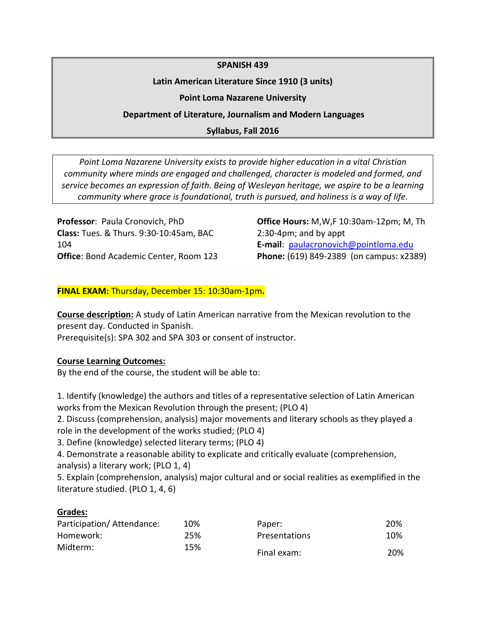### **SPANISH 439**

### **Latin American Literature Since 1910 (3 units)**

### **Point Loma Nazarene University**

## **Department of Literature, Journalism and Modern Languages**

## **Syllabus, Fall 2016**

*Point Loma Nazarene University exists to provide higher education in a vital Christian community where minds are engaged and challenged, character is modeled and formed, and service becomes an expression of faith. Being of Wesleyan heritage, we aspire to be a learning community where grace is foundational, truth is pursued, and holiness is a way of life.*

**Professor**: Paula Cronovich, PhD **Class:** Tues. & Thurs. 9:30-10:45am, BAC 104 **Office**: Bond Academic Center, Room 123 **Office Hours:** M,W,F 10:30am-12pm; M, Th 2:30-4pm; and by appt **E-mail**: [paulacronovich@pointloma.edu](mailto:paulacronovich@pointloma.edu) **Phone:** (619) 849-2389 (on campus: x2389)

### **FINAL EXAM:** Thursday, December 15: 10:30am-1pm**.**

**Course description:** A study of Latin American narrative from the Mexican revolution to the present day. Conducted in Spanish.

Prerequisite(s): SPA 302 and SPA 303 or consent of instructor.

### **Course Learning Outcomes:**

By the end of the course, the student will be able to:

1. Identify (knowledge) the authors and titles of a representative selection of Latin American works from the Mexican Revolution through the present; (PLO 4)

2. Discuss (comprehension, analysis) major movements and literary schools as they played a role in the development of the works studied; (PLO 4)

3. Define (knowledge) selected literary terms; (PLO 4)

4. Demonstrate a reasonable ability to explicate and critically evaluate (comprehension, analysis) a literary work; (PLO 1, 4)

5. Explain (comprehension, analysis) major cultural and or social realities as exemplified in the literature studied. (PLO 1, 4, 6)

### **Grades:**

| Participation/Attendance: | 10% | Paper:        | 20% |
|---------------------------|-----|---------------|-----|
| Homework:                 | 25% | Presentations | 10% |
| Midterm:                  | 15% | Final exam:   | 20% |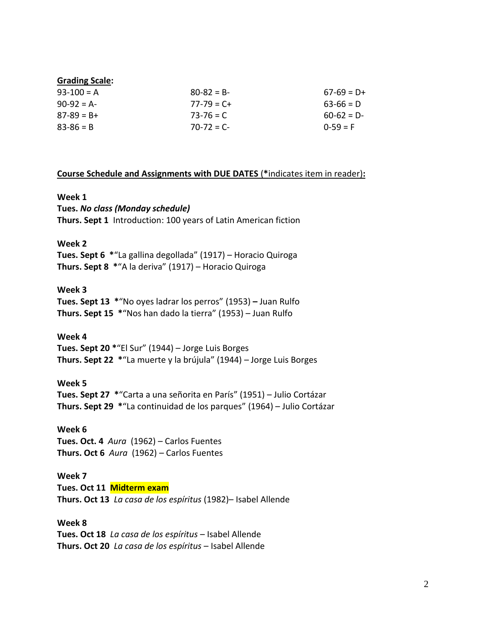#### **Grading Scale:**

| $93-100 = A$  | $80-82 = B$     | $67-69 = D+$ |
|---------------|-----------------|--------------|
| $90-92 = A$   | $77 - 79 = C +$ | $63-66 = D$  |
| $87-89 = B+$  | $73 - 76 = C$   | $60-62 = D$  |
| $83 - 86 = B$ | $70 - 72 = C$   | $0-59 = F$   |

#### **Course Schedule and Assignments with DUE DATES** (**\***indicates item in reader)**:**

#### **Week 1**

**Tues.** *No class (Monday schedule)* **Thurs. Sept 1** Introduction: 100 years of Latin American fiction

#### **Week 2**

**Tues. Sept 6 \***"La gallina degollada" (1917) – Horacio Quiroga **Thurs. Sept 8 \***"A la deriva" (1917) – Horacio Quiroga

### **Week 3**

**Tues. Sept 13 \***"No oyes ladrar los perros" (1953) **–** Juan Rulfo **Thurs. Sept 15 \***"Nos han dado la tierra" (1953) – Juan Rulfo

#### **Week 4**

**Tues. Sept 20 \***"El Sur" (1944) – Jorge Luis Borges **Thurs. Sept 22 \***"La muerte y la brújula" (1944) – Jorge Luis Borges

#### **Week 5**

**Tues. Sept 27 \***"Carta a una señorita en París" (1951) – Julio Cortázar **Thurs. Sept 29 \***"La continuidad de los parques" (1964) – Julio Cortázar

#### **Week 6**

**Tues. Oct. 4** *Aura* (1962) *–* Carlos Fuentes **Thurs. Oct 6** *Aura* (1962) *–* Carlos Fuentes

#### **Week 7**

**Tues. Oct 11 Midterm exam Thurs. Oct 13** *La casa de los espíritus* (1982)– Isabel Allende

#### **Week 8**

**Tues. Oct 18** *La casa de los espíritus* – Isabel Allende **Thurs. Oct 20** *La casa de los espíritus* – Isabel Allende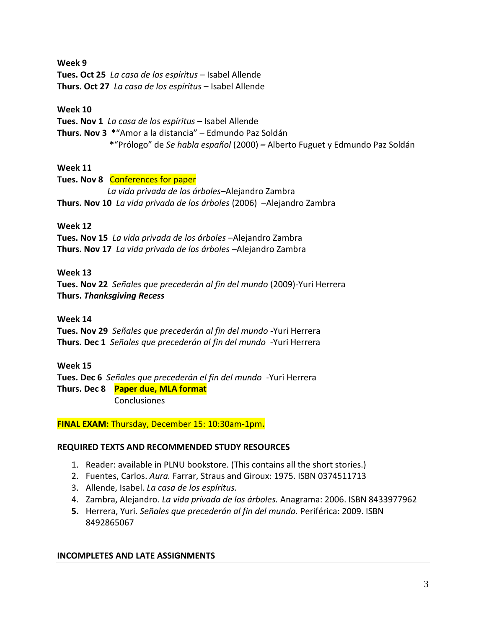**Week 9 Tues. Oct 25** *La casa de los espíritus* – Isabel Allende **Thurs. Oct 27** *La casa de los espíritus* – Isabel Allende

## **Week 10**

**Tues. Nov 1** *La casa de los espíritus* – Isabel Allende **Thurs. Nov 3 \***"Amor a la distancia" – Edmundo Paz Soldán **\***"Prólogo" de *Se habla español* (2000) *–* Alberto Fuguet y Edmundo Paz Soldán

# **Week 11**

**Tues. Nov 8** Conferences for paper *La vida privada de los árboles*–Alejandro Zambra **Thurs. Nov 10** *La vida privada de los árboles* (2006) –Alejandro Zambra

# **Week 12**

**Tues. Nov 15** *La vida privada de los árboles* –Alejandro Zambra **Thurs. Nov 17** *La vida privada de los árboles* –Alejandro Zambra

# **Week 13**

**Tues. Nov 22** *Señales que precederán al fin del mundo* (2009)-Yuri Herrera **Thurs.** *Thanksgiving Recess*

## **Week 14**

**Tues. Nov 29** *Señales que precederán al fin del mundo* -Yuri Herrera **Thurs. Dec 1** *Señales que precederán al fin del mundo* -Yuri Herrera

# **Week 15**

**Tues. Dec 6** *Señales que precederán el fin del mundo* -Yuri Herrera **Thurs. Dec 8 Paper due, MLA format** Conclusiones

**FINAL EXAM:** Thursday, December 15: 10:30am-1pm**.**

# **REQUIRED TEXTS AND RECOMMENDED STUDY RESOURCES**

- 1. Reader: available in PLNU bookstore. (This contains all the short stories.)
- 2. Fuentes, Carlos. *Aura.* Farrar, Straus and Giroux: 1975. ISBN 0374511713
- 3. Allende, Isabel. *La casa de los espíritus.*
- 4. Zambra, Alejandro. *La vida privada de los árboles.* Anagrama: 2006. ISBN 8433977962
- **5.** Herrera, Yuri. *Señales que precederán al fin del mundo.* Periférica: 2009. ISBN 8492865067

## **INCOMPLETES AND LATE ASSIGNMENTS**